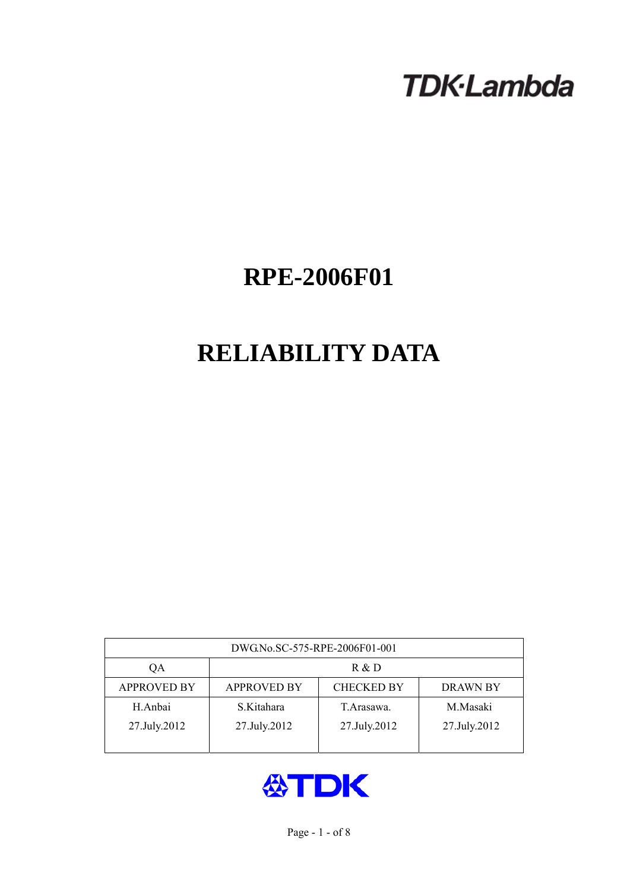# **TDK-Lambda**

## **RPE-2006F01**

## **RELIABILITY DATA**

| DWG.No.SC-575-RPE-2006F01-001 |                                                            |              |              |  |  |  |
|-------------------------------|------------------------------------------------------------|--------------|--------------|--|--|--|
| QA                            | R & D                                                      |              |              |  |  |  |
| <b>APPROVED BY</b>            | <b>APPROVED BY</b><br><b>CHECKED BY</b><br><b>DRAWN BY</b> |              |              |  |  |  |
| H.Anbai                       | S.Kitahara                                                 | T. Arasawa.  | M.Masaki     |  |  |  |
| 27.July.2012                  | 27.July.2012                                               | 27.July.2012 | 27.July.2012 |  |  |  |
|                               |                                                            |              |              |  |  |  |

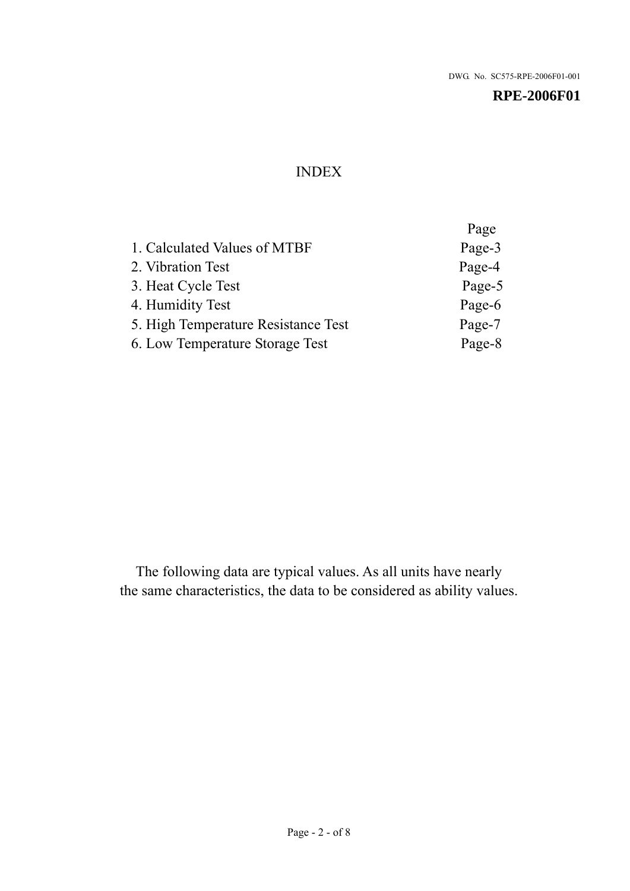## INDEX

|                                     | Page   |
|-------------------------------------|--------|
| 1. Calculated Values of MTBF        | Page-3 |
| 2. Vibration Test                   | Page-4 |
| 3. Heat Cycle Test                  | Page-5 |
| 4. Humidity Test                    | Page-6 |
| 5. High Temperature Resistance Test | Page-7 |
| 6. Low Temperature Storage Test     | Page-8 |
|                                     |        |

The following data are typical values. As all units have nearly the same characteristics, the data to be considered as ability values.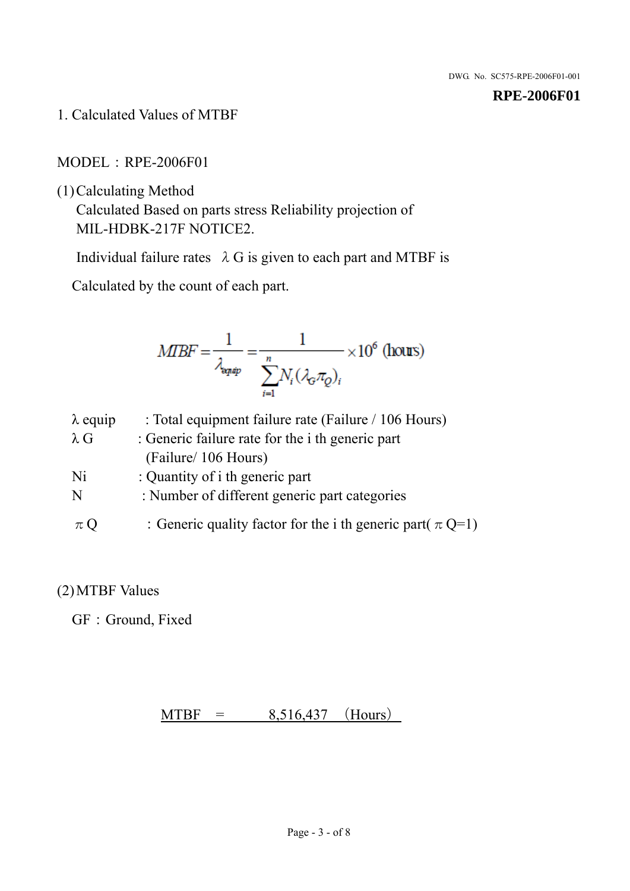1. Calculated Values of MTBF

MODEL:RPE-2006F01

(1)Calculating Method

Calculated Based on parts stress Reliability projection of MIL-HDBK-217F NOTICE2.

Individual failure rates  $\lambda$  G is given to each part and MTBF is

Calculated by the count of each part.

$$
MIBF = \frac{1}{\lambda_{\text{expap}}} = \frac{1}{\sum_{i=1}^{n} N_i (\lambda_{\text{G}} \pi_Q)_i} \times 10^6 \text{ (hours)}
$$

| $\lambda$ equip | : Total equipment failure rate (Failure / 106 Hours)            |
|-----------------|-----------------------------------------------------------------|
| $\lambda$ G     | : Generic failure rate for the <i>i</i> th generic part         |
|                 | (Failure/ 106 Hours)                                            |
| Ni              | : Quantity of i th generic part                                 |
| N               | : Number of different generic part categories                   |
| $\pi$ Q         | : Generic quality factor for the i th generic part( $\pi Q=1$ ) |

## (2)MTBF Values

GF: Ground, Fixed

 $MTBF = 8,516,437$  (Hours)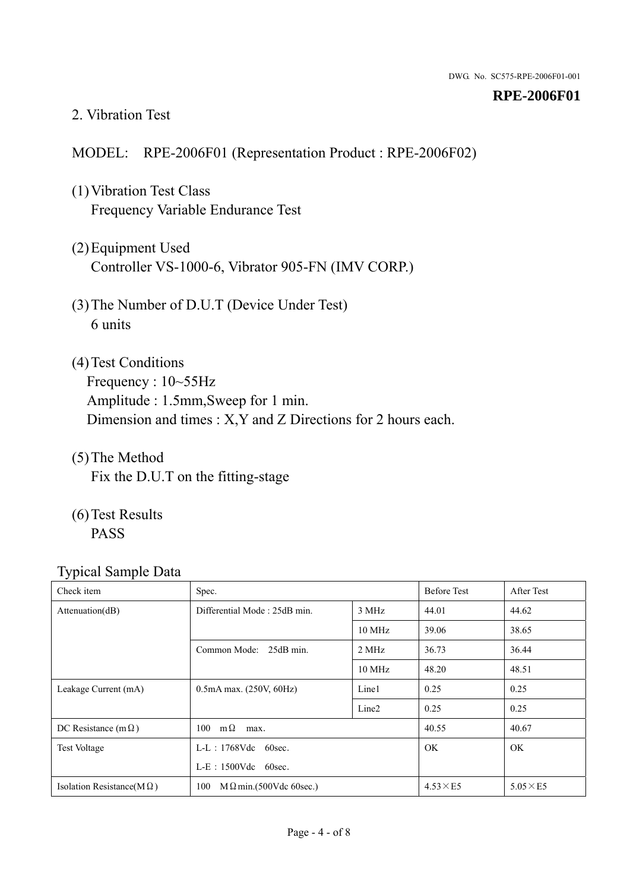#### 2. Vibration Test

#### MODEL: RPE-2006F01 (Representation Product : RPE-2006F02)

- (1)Vibration Test Class Frequency Variable Endurance Test
- (2)Equipment Used Controller VS-1000-6, Vibrator 905-FN (IMV CORP.)
- (3)The Number of D.U.T (Device Under Test) 6 units
- (4) Test Conditions Frequency : 10~55Hz Amplitude : 1.5mm,Sweep for 1 min. Dimension and times : X,Y and Z Directions for 2 hours each.
- (5)The Method Fix the D.U.T on the fitting-stage
- (6)Test Results PASS

| ┙┸<br>Check item                  | Spec.                                 |                   | <b>Before Test</b> | After Test      |
|-----------------------------------|---------------------------------------|-------------------|--------------------|-----------------|
| Attenuation(dB)                   | Differential Mode: 25dB min.          | 3 MHz             | 44.01              | 44.62           |
|                                   |                                       | 10 MHz            | 39.06              | 38.65           |
|                                   | Common Mode: 25dB min.                | 2 MHz             | 36.73              | 36.44           |
|                                   |                                       | 10 MHz            | 48.20              | 48.51           |
| Leakage Current (mA)              | $0.5mA$ max. $(250V, 60Hz)$           | Line1             | 0.25               | 0.25            |
|                                   |                                       | Line <sub>2</sub> | 0.25               | 0.25            |
| DC Resistance (m $\Omega$ )       | $100 \text{ m}\Omega$<br>max.         |                   | 40.55              | 40.67           |
| <b>Test Voltage</b>               | $L-L$ : 1768Vdc 60sec.                |                   | OK.                | OK.             |
|                                   | $L-E$ : 1500Vdc 60sec.                |                   |                    |                 |
| Isolation Resistance(M $\Omega$ ) | $M \Omega$ min.(500Vdc 60sec.)<br>100 |                   | $4.53\times E5$    | $5.05\times E5$ |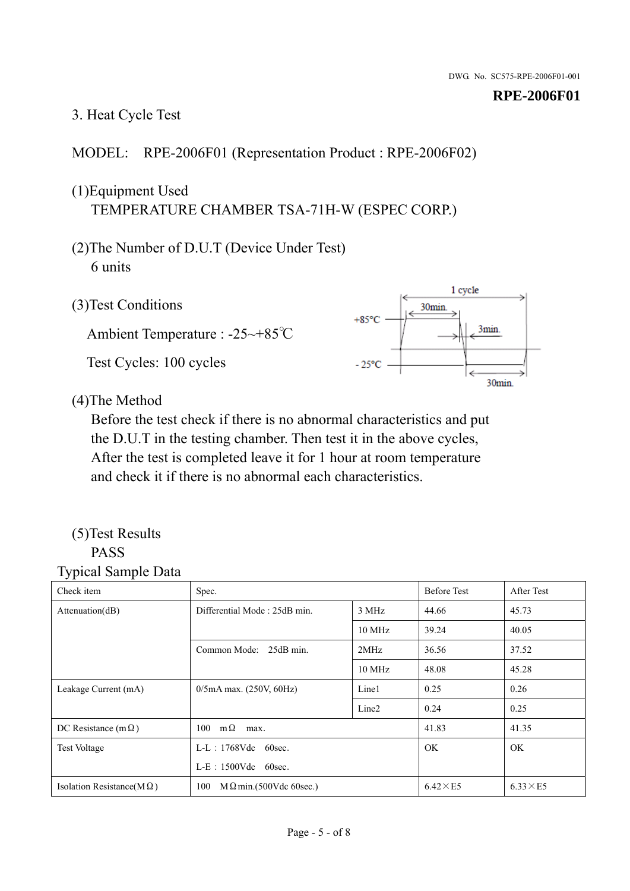## 3. Heat Cycle Test

## MODEL: RPE-2006F01 (Representation Product : RPE-2006F02)

## (1)Equipment Used TEMPERATURE CHAMBER TSA-71H-W (ESPEC CORP.)

- (2)The Number of D.U.T (Device Under Test) 6 units
- 1 cycle (3)Test Conditions 30<sub>min</sub>  $+85^{\circ}$ C 3min. Ambient Temperature : -25~+85℃ Test Cycles: 100 cycles  $-25^{\circ}$ C 30min.

(4)The Method

Before the test check if there is no abnormal characteristics and put the D.U.T in the testing chamber. Then test it in the above cycles, After the test is completed leave it for 1 hour at room temperature and check it if there is no abnormal each characteristics.

#### (5)Test Results PASS

| ╯┸<br>Check item                  | Spec.                                 |                   | <b>Before Test</b> | After Test      |
|-----------------------------------|---------------------------------------|-------------------|--------------------|-----------------|
| Attention(dB)                     | Differential Mode: 25dB min.          |                   | 44.66              | 45.73           |
|                                   |                                       | 10 MHz            | 39.24              | 40.05           |
|                                   | Common Mode: 25dB min.                | 2MHz              | 36.56              | 37.52           |
|                                   |                                       | 10 MHz            | 48.08              | 45.28           |
| Leakage Current (mA)              | $0/5$ mA max. (250V, 60Hz)            | Line1             | 0.25               | 0.26            |
|                                   |                                       | Line <sub>2</sub> | 0.24               | 0.25            |
| DC Resistance (m $\Omega$ )       | $100 \quad m\Omega$<br>max.           |                   | 41.83              | 41.35           |
| <b>Test Voltage</b>               | $L-L$ : 1768Vdc 60sec.                |                   | OK.                | OK.             |
|                                   | $L-E$ : 1500Vdc 60sec.                |                   |                    |                 |
| Isolation Resistance(M $\Omega$ ) | 100<br>$M \Omega$ min.(500Vdc 60sec.) |                   | $6.42\times E5$    | $6.33\times E5$ |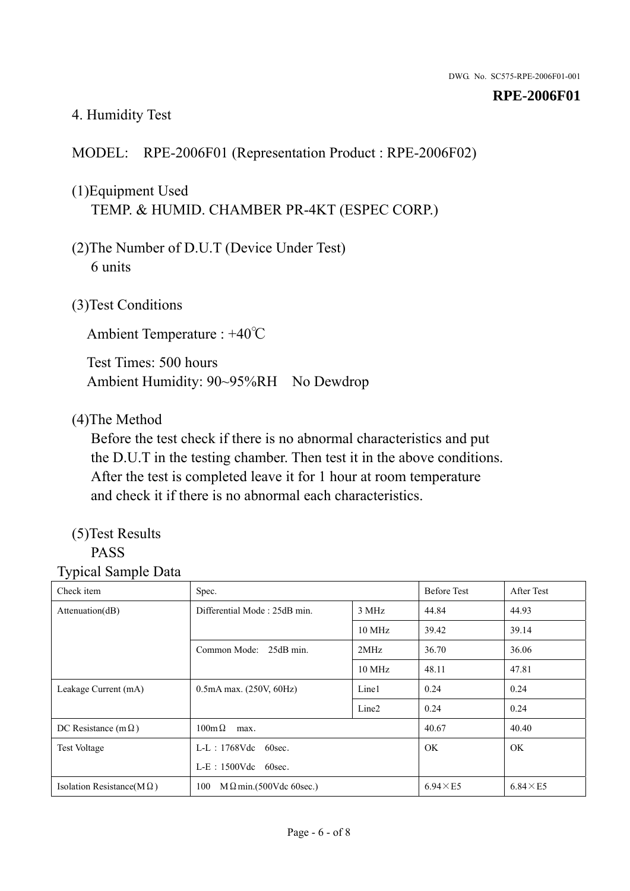## 4. Humidity Test

## MODEL: RPE-2006F01 (Representation Product : RPE-2006F02)

## (1)Equipment Used TEMP. & HUMID. CHAMBER PR-4KT (ESPEC CORP.)

- (2)The Number of D.U.T (Device Under Test) 6 units
- (3)Test Conditions

Ambient Temperature : +40℃

Test Times: 500 hours Ambient Humidity: 90~95%RH No Dewdrop

#### (4)The Method

Before the test check if there is no abnormal characteristics and put the D.U.T in the testing chamber. Then test it in the above conditions. After the test is completed leave it for 1 hour at room temperature and check it if there is no abnormal each characteristics.

## (5)Test Results

## PASS

| ັ່<br>л.<br>Check item            | Spec.                                 |                   | <b>Before Test</b> | After Test      |
|-----------------------------------|---------------------------------------|-------------------|--------------------|-----------------|
| Attenuation(dB)                   | Differential Mode: 25dB min.          | 3 MHz             | 44.84              | 44.93           |
|                                   |                                       | 10 MHz            | 39.42              | 39.14           |
|                                   | Common Mode: 25dB min.                | 2MHz              | 36.70              | 36.06           |
|                                   |                                       | 10 MHz            | 48.11              | 47.81           |
| Leakage Current (mA)              | $0.5mA$ max. $(250V, 60Hz)$           | Line1             | 0.24               | 0.24            |
|                                   |                                       | Line <sub>2</sub> | 0.24               | 0.24            |
| DC Resistance (m $\Omega$ )       | $100 \text{m}\,\Omega$<br>max.        |                   | 40.67              | 40.40           |
| <b>Test Voltage</b>               | $L-L$ : 1768Vdc 60sec.                |                   | OK.                | OK.             |
|                                   | $L-E$ : 1500Vdc 60sec.                |                   |                    |                 |
| Isolation Resistance(M $\Omega$ ) | $M \Omega$ min.(500Vdc 60sec.)<br>100 |                   | $6.94\times E5$    | $6.84\times E5$ |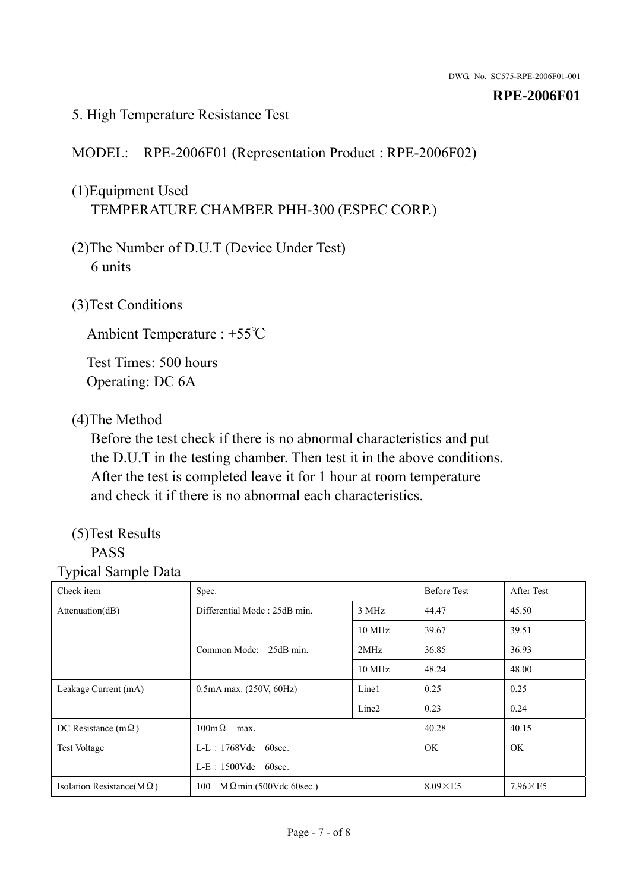#### 5. High Temperature Resistance Test

## MODEL: RPE-2006F01 (Representation Product : RPE-2006F02)

## (1)Equipment Used TEMPERATURE CHAMBER PHH-300 (ESPEC CORP.)

- (2)The Number of D.U.T (Device Under Test) 6 units
- (3)Test Conditions

Ambient Temperature : +55℃

Test Times: 500 hours Operating: DC 6A

## (4)The Method

Before the test check if there is no abnormal characteristics and put the D.U.T in the testing chamber. Then test it in the above conditions. After the test is completed leave it for 1 hour at room temperature and check it if there is no abnormal each characteristics.

## (5)Test Results

## PASS

| ັ່<br>л.<br>Check item            | Spec.                                 |                   | <b>Before Test</b> | After Test      |
|-----------------------------------|---------------------------------------|-------------------|--------------------|-----------------|
| Attenuation(dB)                   | Differential Mode: 25dB min.          | 3 MHz             | 44.47              | 45.50           |
|                                   |                                       | 10 MHz            | 39.67              | 39.51           |
|                                   | Common Mode: 25dB min.                | 2MHz              | 36.85              | 36.93           |
|                                   |                                       | 10 MHz            | 48.24              | 48.00           |
| Leakage Current (mA)              | $0.5mA$ max. $(250V, 60Hz)$           | Line1             | 0.25               | 0.25            |
|                                   |                                       | Line <sub>2</sub> | 0.23               | 0.24            |
| DC Resistance (m $\Omega$ )       | $100 \text{m}\,\Omega$<br>max.        |                   | 40.28              | 40.15           |
| <b>Test Voltage</b>               | $L-L$ : 1768Vdc 60sec.                |                   | OK.                | OK.             |
|                                   | $L-E$ : 1500Vdc 60sec.                |                   |                    |                 |
| Isolation Resistance(M $\Omega$ ) | $M \Omega$ min.(500Vdc 60sec.)<br>100 |                   | $8.09\times E5$    | $7.96\times E5$ |